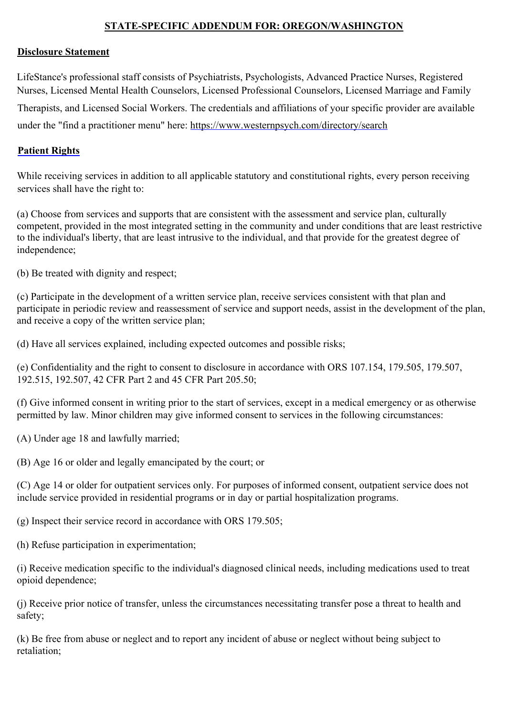# **STATE-SPECIFIC ADDENDUM FOR: OREGON/WASHINGTON**

#### **Disclosure Statement**

LifeStance's professional staff consists of Psychiatrists, Psychologists, Advanced Practice Nurses, Registered Nurses, Licensed Mental Health Counselors, Licensed Professional Counselors, Licensed Marriage and Family Therapists, and Licensed Social Workers. The credentials and affiliations of your specific provider are available under the "find a practitioner menu" here: https://www.westernpsych.com/directory/search

## **Patient Rights**

While receiving services in addition to all applicable statutory and constitutional rights, every person receiving services shall have the right to:

(a) Choose from services and supports that are consistent with the assessment and service plan, culturally competent, provided in the most integrated setting in the community and under conditions that are least restrictive to the individual's liberty, that are least intrusive to the individual, and that provide for the greatest degree of independence;

(b) Be treated with dignity and respect;

(c) Participate in the development of a written service plan, receive services consistent with that plan and participate in periodic review and reassessment of service and support needs, assist in the development of the plan, and receive a copy of the written service plan;

(d) Have all services explained, including expected outcomes and possible risks;

(e) Confidentiality and the right to consent to disclosure in accordance with ORS 107.154, 179.505, 179.507, 192.515, 192.507, 42 CFR Part 2 and 45 CFR Part 205.50;

(f) Give informed consent in writing prior to the start of services, except in a medical emergency or as otherwise permitted by law. Minor children may give informed consent to services in the following circumstances:

(A) Under age 18 and lawfully married;

(B) Age 16 or older and legally emancipated by the court; or

(C) Age 14 or older for outpatient services only. For purposes of informed consent, outpatient service does not include service provided in residential programs or in day or partial hospitalization programs.

(g) Inspect their service record in accordance with ORS 179.505;

(h) Refuse participation in experimentation;

(i) Receive medication specific to the individual's diagnosed clinical needs, including medications used to treat opioid dependence;

(j) Receive prior notice of transfer, unless the circumstances necessitating transfer pose a threat to health and safety;

(k) Be free from abuse or neglect and to report any incident of abuse or neglect without being subject to retaliation;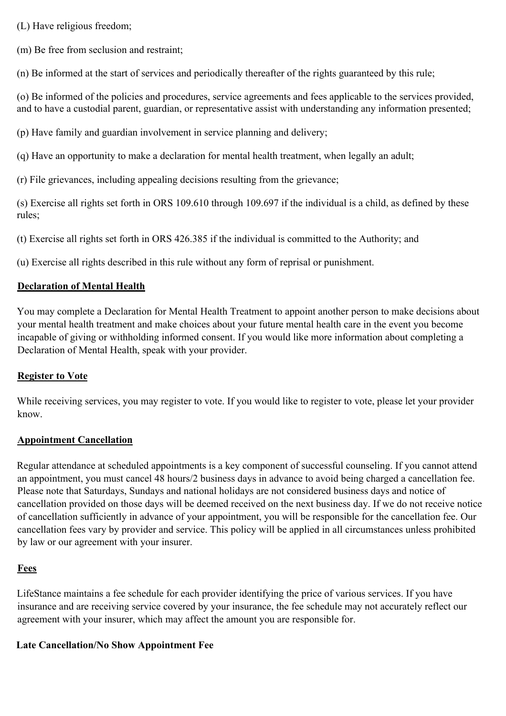(L) Have religious freedom;

(m) Be free from seclusion and restraint;

(n) Be informed at the start of services and periodically thereafter of the rights guaranteed by this rule;

(o) Be informed of the policies and procedures, service agreements and fees applicable to the services provided, and to have a custodial parent, guardian, or representative assist with understanding any information presented;

(p) Have family and guardian involvement in service planning and delivery;

(q) Have an opportunity to make a declaration for mental health treatment, when legally an adult;

(r) File grievances, including appealing decisions resulting from the grievance;

(s) Exercise all rights set forth in ORS 109.610 through 109.697 if the individual is a child, as defined by these rules;

(t) Exercise all rights set forth in ORS 426.385 if the individual is committed to the Authority; and

(u) Exercise all rights described in this rule without any form of reprisal or punishment.

## **Declaration of Mental Health**

You may complete a Declaration for Mental Health Treatment to appoint another person to make decisions about your mental health treatment and make choices about your future mental health care in the event you become incapable of giving or withholding informed consent. If you would like more information about completing a Declaration of Mental Health, speak with your provider.

# **Register to Vote**

While receiving services, you may register to vote. If you would like to register to vote, please let your provider know.

## **Appointment Cancellation**

Regular attendance at scheduled appointments is a key component of successful counseling. If you cannot attend an appointment, you must cancel 48 hours/2 business days in advance to avoid being charged a cancellation fee. Please note that Saturdays, Sundays and national holidays are not considered business days and notice of cancellation provided on those days will be deemed received on the next business day. If we do not receive notice of cancellation sufficiently in advance of your appointment, you will be responsible for the cancellation fee. Our cancellation fees vary by provider and service. This policy will be applied in all circumstances unless prohibited by law or our agreement with your insurer.

# **Fees**

LifeStance maintains a fee schedule for each provider identifying the price of various services. If you have insurance and are receiving service covered by your insurance, the fee schedule may not accurately reflect our agreement with your insurer, which may affect the amount you are responsible for.

## **Late Cancellation/No Show Appointment Fee**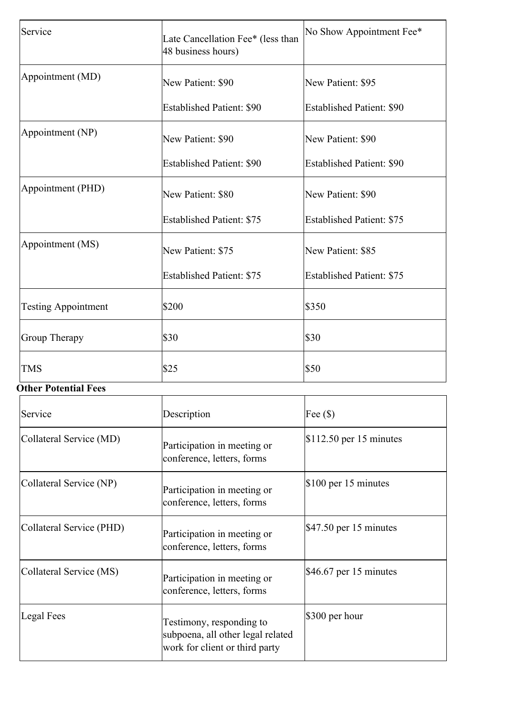| Service                    | Late Cancellation Fee* (less than<br>48 business hours) | No Show Appointment Fee*         |
|----------------------------|---------------------------------------------------------|----------------------------------|
| Appointment (MD)           | New Patient: \$90                                       | New Patient: \$95                |
|                            | <b>Established Patient: \$90</b>                        | <b>Established Patient: \$90</b> |
| Appointment (NP)           | New Patient: \$90                                       | New Patient: \$90                |
|                            | <b>Established Patient: \$90</b>                        | <b>Established Patient: \$90</b> |
| Appointment (PHD)          | New Patient: \$80                                       | New Patient: \$90                |
|                            | <b>Established Patient: \$75</b>                        | <b>Established Patient: \$75</b> |
| Appointment (MS)           | New Patient: \$75                                       | New Patient: \$85                |
|                            | <b>Established Patient: \$75</b>                        | <b>Established Patient: \$75</b> |
| <b>Testing Appointment</b> | \$200                                                   | \$350                            |
| <b>Group Therapy</b>       | \$30                                                    | \$30                             |
| <b>TMS</b>                 | \$25                                                    | \$50                             |

# **Other Potential Fees**

| Service                  | Description                                                                                     | Fee $(\$)$                        |
|--------------------------|-------------------------------------------------------------------------------------------------|-----------------------------------|
| Collateral Service (MD)  | Participation in meeting or<br>conference, letters, forms                                       | $$112.50$ per 15 minutes          |
| Collateral Service (NP)  | Participation in meeting or<br>conference, letters, forms                                       | $$100$ per 15 minutes             |
| Collateral Service (PHD) | Participation in meeting or<br>conference, letters, forms                                       | $\frac{1}{2}47.50$ per 15 minutes |
| Collateral Service (MS)  | Participation in meeting or<br>conference, letters, forms                                       | $$46.67$ per 15 minutes           |
| Legal Fees               | Testimony, responding to<br>subpoena, all other legal related<br>work for client or third party | $$300$ per hour                   |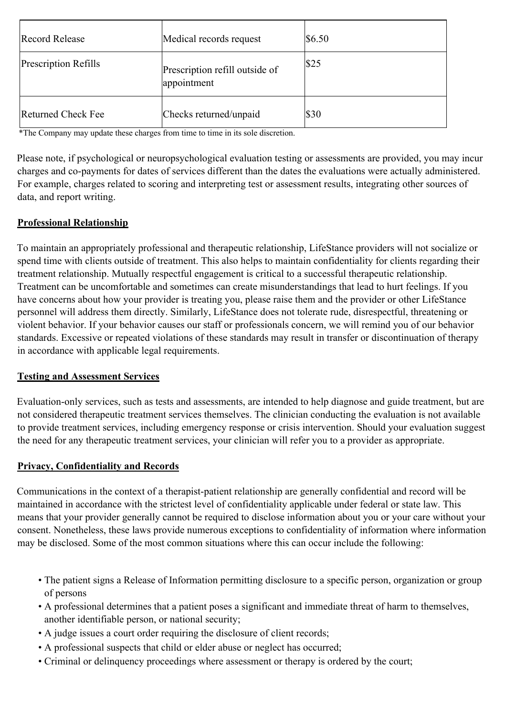| <b>Record Release</b>     | Medical records request                       | \$6.50 |
|---------------------------|-----------------------------------------------|--------|
| Prescription Refills      | Prescription refill outside of<br>appointment | \$25   |
| <b>Returned Check Fee</b> | Checks returned/unpaid                        | \$30   |

\*The Company may update these charges from time to time in its sole discretion.

Please note, if psychological or neuropsychological evaluation testing or assessments are provided, you may incur charges and co-payments for dates of services different than the dates the evaluations were actually administered. For example, charges related to scoring and interpreting test or assessment results, integrating other sources of data, and report writing.

## **Professional Relationship**

To maintain an appropriately professional and therapeutic relationship, LifeStance providers will not socialize or spend time with clients outside of treatment. This also helps to maintain confidentiality for clients regarding their treatment relationship. Mutually respectful engagement is critical to a successful therapeutic relationship. Treatment can be uncomfortable and sometimes can create misunderstandings that lead to hurt feelings. If you have concerns about how your provider is treating you, please raise them and the provider or other LifeStance personnel will address them directly. Similarly, LifeStance does not tolerate rude, disrespectful, threatening or violent behavior. If your behavior causes our staff or professionals concern, we will remind you of our behavior standards. Excessive or repeated violations of these standards may result in transfer or discontinuation of therapy in accordance with applicable legal requirements.

## **Testing and Assessment Services**

Evaluation-only services, such as tests and assessments, are intended to help diagnose and guide treatment, but are not considered therapeutic treatment services themselves. The clinician conducting the evaluation is not available to provide treatment services, including emergency response or crisis intervention. Should your evaluation suggest the need for any therapeutic treatment services, your clinician will refer you to a provider as appropriate.

## **Privacy, Confidentiality and Records**

Communications in the context of a therapist-patient relationship are generally confidential and record will be maintained in accordance with the strictest level of confidentiality applicable under federal or state law. This means that your provider generally cannot be required to disclose information about you or your care without your consent. Nonetheless, these laws provide numerous exceptions to confidentiality of information where information may be disclosed. Some of the most common situations where this can occur include the following:

- The patient signs a Release of Information permitting disclosure to a specific person, organization or group of persons
- A professional determines that a patient poses a significant and immediate threat of harm to themselves, another identifiable person, or national security;
- A judge issues a court order requiring the disclosure of client records;
- A professional suspects that child or elder abuse or neglect has occurred;
- Criminal or delinquency proceedings where assessment or therapy is ordered by the court;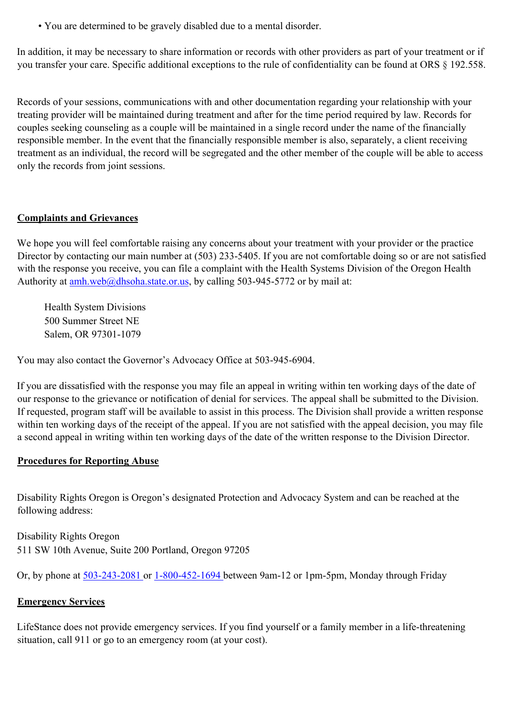• You are determined to be gravely disabled due to a mental disorder.

In addition, it may be necessary to share information or records with other providers as part of your treatment or if you transfer your care. Specific additional exceptions to the rule of confidentiality can be found at ORS § 192.558.

Records of your sessions, communications with and other documentation regarding your relationship with your treating provider will be maintained during treatment and after for the time period required by law. Records for couples seeking counseling as a couple will be maintained in a single record under the name of the financially responsible member. In the event that the financially responsible member is also, separately, a client receiving treatment as an individual, the record will be segregated and the other member of the couple will be able to access only the records from joint sessions.

# **Complaints and Grievances**

We hope you will feel comfortable raising any concerns about your treatment with your provider or the practice Director by contacting our main number at (503) 233-5405. If you are not comfortable doing so or are not satisfied with the response you receive, you can file a complaint with the Health Systems Division of the Oregon Health Authority at  $amh.$ web $@dhsoha.$ state.or.us, by calling 503-945-5772 or by mail at:

Health System Divisions 500 Summer Street NE Salem, OR 97301-1079

You may also contact the Governor's Advocacy Office at 503-945-6904.

If you are dissatisfied with the response you may file an appeal in writing within ten working days of the date of our response to the grievance or notification of denial for services. The appeal shall be submitted to the Division. If requested, program staff will be available to assist in this process. The Division shall provide a written response within ten working days of the receipt of the appeal. If you are not satisfied with the appeal decision, you may file a second appeal in writing within ten working days of the date of the written response to the Division Director.

## **Procedures for Reporting Abuse**

Disability Rights Oregon is Oregon's designated Protection and Advocacy System and can be reached at the following address:

Disability Rights Oregon 511 SW 10th Avenue, Suite 200 Portland, Oregon 97205

Or, by phone at 503-243-2081 or 1-800-452-1694 between 9am-12 or 1pm-5pm, Monday through Friday

# **Emergency Services**

LifeStance does not provide emergency services. If you find yourself or a family member in a life-threatening situation, call 911 or go to an emergency room (at your cost).